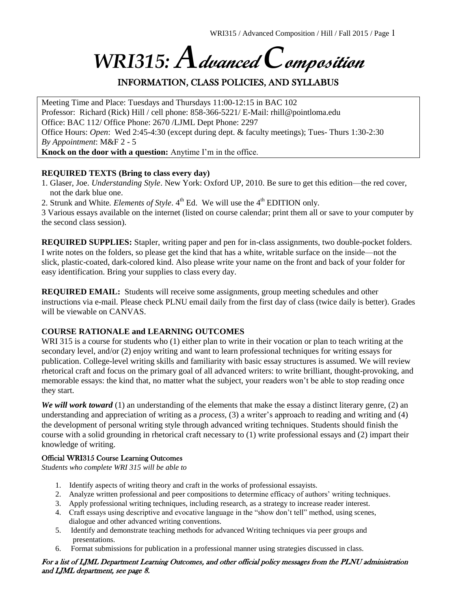# *WRI315: A***dvanced** *C***omposition**

# INFORMATION, CLASS POLICIES, AND SYLLABUS

Meeting Time and Place: Tuesdays and Thursdays 11:00-12:15 in BAC 102 Professor: Richard (Rick) Hill / cell phone: 858-366-5221/ E-Mail: rhill@pointloma.edu Office: BAC 112/ Office Phone: 2670 /LJML Dept Phone: 2297 Office Hours: *Open*: Wed 2:45-4:30 (except during dept. & faculty meetings); Tues- Thurs 1:30-2:30 *By Appointment*: M&F 2 - 5 **Knock on the door with a question:** Anytime I'm in the office.

#### **REQUIRED TEXTS (Bring to class every day)**

- 1. Glaser, Joe. *Understanding Style*. New York: Oxford UP, 2010. Be sure to get this edition—the red cover, not the dark blue one.
- 2. Strunk and White. *Elements of Style*. 4<sup>th</sup> Ed. We will use the 4<sup>th</sup> EDITION only.

3 Various essays available on the internet (listed on course calendar; print them all or save to your computer by the second class session).

**REQUIRED SUPPLIES:** Stapler, writing paper and pen for in-class assignments, two double-pocket folders. I write notes on the folders, so please get the kind that has a white, writable surface on the inside—not the slick, plastic-coated, dark-colored kind. Also please write your name on the front and back of your folder for easy identification. Bring your supplies to class every day.

**REQUIRED EMAIL:** Students will receive some assignments, group meeting schedules and other instructions via e-mail. Please check PLNU email daily from the first day of class (twice daily is better). Grades will be viewable on CANVAS.

#### **COURSE RATIONALE and LEARNING OUTCOMES**

WRI 315 is a course for students who (1) either plan to write in their vocation or plan to teach writing at the secondary level, and/or (2) enjoy writing and want to learn professional techniques for writing essays for publication. College-level writing skills and familiarity with basic essay structures is assumed. We will review rhetorical craft and focus on the primary goal of all advanced writers: to write brilliant, thought-provoking, and memorable essays: the kind that, no matter what the subject, your readers won't be able to stop reading once they start.

*We will work toward* (1) an understanding of the elements that make the essay a distinct literary genre, (2) an understanding and appreciation of writing as a *process,* (3) a writer's approach to reading and writing and (4) the development of personal writing style through advanced writing techniques. Students should finish the course with a solid grounding in rhetorical craft necessary to (1) write professional essays and (2) impart their knowledge of writing.

#### Official WRI315 Course Learning Outcomes

*Students who complete WRI 315 will be able to*

- 1. Identify aspects of writing theory and craft in the works of professional essayists.
- 2. Analyze written professional and peer compositions to determine efficacy of authors' writing techniques.
- 3. Apply professional writing techniques, including research, as a strategy to increase reader interest.
- 4. Craft essays using descriptive and evocative language in the "show don't tell" method, using scenes, dialogue and other advanced writing conventions.
- 5. Identify and demonstrate teaching methods for advanced Writing techniques via peer groups and presentations.
- 6. Format submissions for publication in a professional manner using strategies discussed in class.

#### For a list of LJML Department Learning Outcomes, and other official policy messages from the PLNU administration and LJML department, see page 8.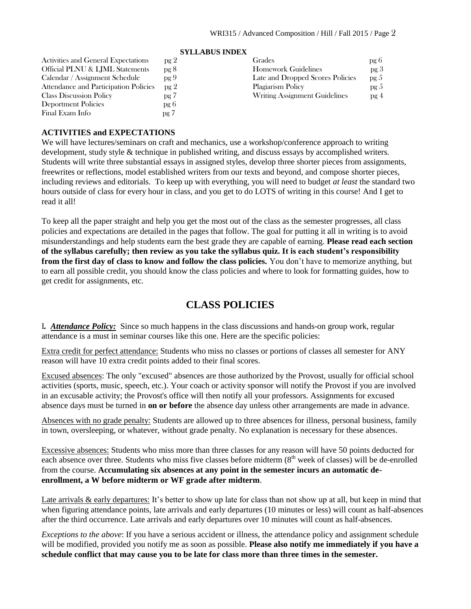|                                       | <b>STLLADUS INDEA</b> |                                  |      |
|---------------------------------------|-----------------------|----------------------------------|------|
| Activities and General Expectations   | pg 2                  | Grades                           | pg b |
| Official PLNU & LJML Statements       | pg 8                  | <b>Homework Guidelines</b>       | pg 3 |
| Calendar / Assignment Schedule        | pg9                   | Late and Dropped Scores Policies | pg 5 |
| Attendance and Participation Policies | pg <sub>2</sub>       | Plagiarism Policy                | pg 5 |
| <b>Class Discussion Policy</b>        | pg 7                  | Writing Assignment Guidelines    | pg 4 |
| Deportment Policies                   | pg 6                  |                                  |      |
| Final Exam Info                       | pg 7                  |                                  |      |
|                                       |                       |                                  |      |

# **SYLLA BUS INDEX**

#### **ACTIVITIES and EXPECTATIONS**

We will have lectures/seminars on craft and mechanics, use a workshop/conference approach to writing development, study style & technique in published writing, and discuss essays by accomplished writers*.*  Students will write three substantial essays in assigned styles, develop three shorter pieces from assignments, freewrites or reflections, model established writers from our texts and beyond, and compose shorter pieces, including reviews and editorials. To keep up with everything, you will need to budget *at least* the standard two hours outside of class for every hour in class, and you get to do LOTS of writing in this course! And I get to read it all!

To keep all the paper straight and help you get the most out of the class as the semester progresses, all class policies and expectations are detailed in the pages that follow. The goal for putting it all in writing is to avoid misunderstandings and help students earn the best grade they are capable of earning. **Please read each section of the syllabus carefully; then review as you take the syllabus quiz. It is each student's responsibility from the first day of class to know and follow the class policies.** You don't have to memorize anything, but to earn all possible credit, you should know the class policies and where to look for formatting guides, how to get credit for assignments, etc.

# **CLASS POLICIES**

I*. Attendance Policy:* Since so much happens in the class discussions and hands-on group work, regular attendance is a must in seminar courses like this one. Here are the specific policies:

Extra credit for perfect attendance: Students who miss no classes or portions of classes all semester for ANY reason will have 10 extra credit points added to their final scores.

Excused absences: The only "excused" absences are those authorized by the Provost, usually for official school activities (sports, music, speech, etc.). Your coach or activity sponsor will notify the Provost if you are involved in an excusable activity; the Provost's office will then notify all your professors. Assignments for excused absence days must be turned in **on or before** the absence day unless other arrangements are made in advance.

Absences with no grade penalty: Students are allowed up to three absences for illness, personal business, family in town, oversleeping, or whatever, without grade penalty. No explanation is necessary for these absences.

Excessive absences: Students who miss more than three classes for any reason will have 50 points deducted for each absence over three. Students who miss five classes before midterm (8<sup>th</sup> week of classes) will be de-enrolled from the course. **Accumulating six absences at any point in the semester incurs an automatic deenrollment, a W before midterm or WF grade after midterm**.

Late arrivals & early departures: It's better to show up late for class than not show up at all, but keep in mind that when figuring attendance points, late arrivals and early departures (10 minutes or less) will count as half-absences after the third occurrence. Late arrivals and early departures over 10 minutes will count as half-absences.

*Exceptions to the above*: If you have a serious accident or illness, the attendance policy and assignment schedule will be modified, provided you notify me as soon as possible. **Please also notify me immediately if you have a schedule conflict that may cause you to be late for class more than three times in the semester.**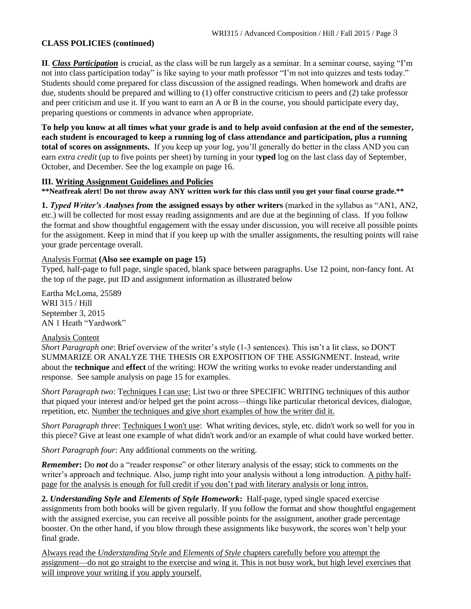#### **CLASS POLICIES (continued)**

**II**. *Class Participation* is crucial, as the class will be run largely as a seminar. In a seminar course, saying "I'm not into class participation today" is like saying to your math professor "I'm not into quizzes and tests today." Students should come prepared for class discussion of the assigned readings. When homework and drafts are due, students should be prepared and willing to (1) offer constructive criticism to peers and (2) take professor and peer criticism and use it. If you want to earn an A or B in the course, you should participate every day, preparing questions or comments in advance when appropriate.

**To help you know at all times what your grade is and to help avoid confusion at the end of the semester, each student is encouraged to keep a running log of class attendance and participation, plus a running total of scores on assignments.** If you keep up your log, you'll generally do better in the class AND you can earn *extra credit* (up to five points per sheet) by turning in your t**yped** log on the last class day of September, October, and December. See the log example on page 16.

#### **III. Writing Assignment Guidelines and Policies**

**\*\*Neatfreak alert! Do not throw away ANY written work for this class until you get your final course grade.\*\***

**1.** *Typed Writer's Analyses from* **the assigned essays by other writers** (marked in the syllabus as "AN1, AN2, etc.) will be collected for most essay reading assignments and are due at the beginning of class. If you follow the format and show thoughtful engagement with the essay under discussion, you will receive all possible points for the assignment. Keep in mind that if you keep up with the smaller assignments, the resulting points will raise your grade percentage overall.

#### Analysis Format **(Also see example on page 15)**

Typed, half-page to full page, single spaced, blank space between paragraphs. Use 12 point, non-fancy font. At the top of the page, put ID and assignment information as illustrated below

Eartha McLoma, 25589 WRI 315 / Hill September 3, 2015 AN 1 Heath "Yardwork"

#### Analysis Content

*Short Paragraph one*: Brief overview of the writer's style (1-3 sentences). This isn't a lit class, so DON'T SUMMARIZE OR ANALYZE THE THESIS OR EXPOSITION OF THE ASSIGNMENT. Instead, write about the **technique** and **effect** of the writing: HOW the writing works to evoke reader understanding and response. See sample analysis on page 15 for examples.

*Short Paragraph two*: Techniques I can use: List two or three SPECIFIC WRITING techniques of this author that piqued your interest and/or helped get the point across—things like particular rhetorical devices, dialogue, repetition, etc. Number the techniques and give short examples of how the writer did it.

*Short Paragraph three*: Techniques I won't use: What writing devices, style, etc. didn't work so well for you in this piece? Give at least one example of what didn't work and/or an example of what could have worked better.

*Short Paragraph four*: Any additional comments on the writing.

*Remember***:** Do *not* do a "reader response" or other literary analysis of the essay; stick to comments on the writer's approach and technique. Also, jump right into your analysis without a long introduction. A pithy halfpage for the analysis is enough for full credit if you don't pad with literary analysis or long intros.

**2.** *Understanding Style* **and** *Elements of Style Homework***:** Half-page, typed single spaced exercise assignments from both books will be given regularly. If you follow the format and show thoughtful engagement with the assigned exercise, you can receive all possible points for the assignment, another grade percentage booster. On the other hand, if you blow through these assignments like busywork, the scores won't help your final grade.

Always read the *Understanding Style* and *Elements of Style* chapters carefully before you attempt the assignment—do not go straight to the exercise and wing it. This is not busy work, but high level exercises that will improve your writing if you apply yourself.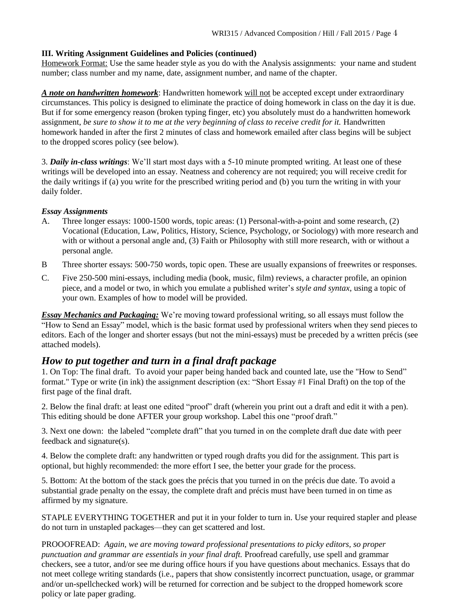#### **III. Writing Assignment Guidelines and Policies (continued)**

Homework Format: Use the same header style as you do with the Analysis assignments: your name and student number; class number and my name, date, assignment number, and name of the chapter.

*A note on handwritten homework*: Handwritten homework will not be accepted except under extraordinary circumstances. This policy is designed to eliminate the practice of doing homework in class on the day it is due. But if for some emergency reason (broken typing finger, etc) you absolutely must do a handwritten homework assignment, *be sure to show it to me at the very beginning of class to receive credit for it.* Handwritten homework handed in after the first 2 minutes of class and homework emailed after class begins will be subject to the dropped scores policy (see below).

3. *Daily in-class writings*: We'll start most days with a 5-10 minute prompted writing. At least one of these writings will be developed into an essay. Neatness and coherency are not required; you will receive credit for the daily writings if (a) you write for the prescribed writing period and (b) you turn the writing in with your daily folder.

#### *Essay Assignments*

- A. Three longer essays: 1000-1500 words, topic areas: (1) Personal-with-a-point and some research, (2) Vocational (Education, Law, Politics, History, Science, Psychology, or Sociology) with more research and with or without a personal angle and, (3) Faith or Philosophy with still more research, with or without a personal angle.
- B Three shorter essays: 500-750 words, topic open. These are usually expansions of freewrites or responses.
- C. Five 250-500 mini-essays, including media (book, music, film) reviews, a character profile, an opinion piece, and a model or two, in which you emulate a published writer's *style and syntax*, using a topic of your own. Examples of how to model will be provided.

*Essay Mechanics and Packaging:* We're moving toward professional writing, so all essays must follow the "How to Send an Essay" model, which is the basic format used by professional writers when they send pieces to editors. Each of the longer and shorter essays (but not the mini-essays) must be preceded by a written précis (see attached models).

# *How to put together and turn in a final draft package*

1. On Top: The final draft. To avoid your paper being handed back and counted late, use the "How to Send" format." Type or write (in ink) the assignment description (ex: "Short Essay #1 Final Draft) on the top of the first page of the final draft.

2. Below the final draft: at least one edited "proof" draft (wherein you print out a draft and edit it with a pen). This editing should be done AFTER your group workshop. Label this one "proof draft."

3. Next one down: the labeled "complete draft" that you turned in on the complete draft due date with peer feedback and signature(s).

4. Below the complete draft: any handwritten or typed rough drafts you did for the assignment. This part is optional, but highly recommended: the more effort I see, the better your grade for the process.

5. Bottom: At the bottom of the stack goes the précis that you turned in on the précis due date. To avoid a substantial grade penalty on the essay, the complete draft and précis must have been turned in on time as affirmed by my signature.

STAPLE EVERYTHING TOGETHER and put it in your folder to turn in. Use your required stapler and please do not turn in unstapled packages—they can get scattered and lost.

PROOOFREAD: *Again, we are moving toward professional presentations to picky editors, so proper punctuation and grammar are essentials in your final draft.* Proofread carefully, use spell and grammar checkers, see a tutor, and/or see me during office hours if you have questions about mechanics. Essays that do not meet college writing standards (i.e., papers that show consistently incorrect punctuation, usage, or grammar and/or un-spellchecked work) will be returned for correction and be subject to the dropped homework score policy or late paper grading.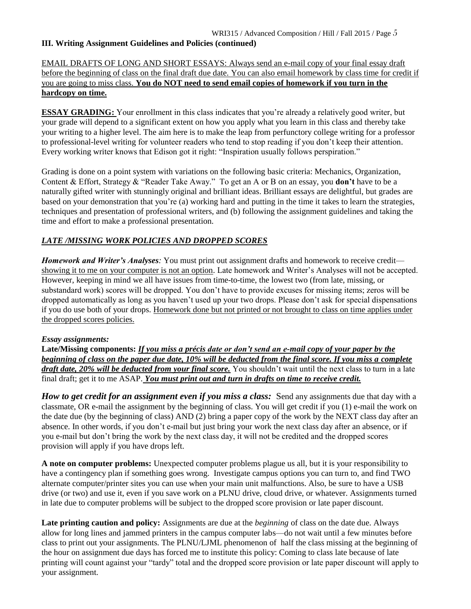#### **III. Writing Assignment Guidelines and Policies (continued)**

#### EMAIL DRAFTS OF LONG AND SHORT ESSAYS: Always send an e-mail copy of your final essay draft before the beginning of class on the final draft due date. You can also email homework by class time for credit if you are going to miss class. **You do NOT need to send email copies of homework if you turn in the hardcopy on time.**

**ESSAY GRADING:** Your enrollment in this class indicates that you're already a relatively good writer, but your grade will depend to a significant extent on how you apply what you learn in this class and thereby take your writing to a higher level. The aim here is to make the leap from perfunctory college writing for a professor to professional-level writing for volunteer readers who tend to stop reading if you don't keep their attention. Every working writer knows that Edison got it right: "Inspiration usually follows perspiration."

Grading is done on a point system with variations on the following basic criteria: Mechanics, Organization, Content & Effort, Strategy & "Reader Take Away." To get an A or B on an essay, you **don't** have to be a naturally gifted writer with stunningly original and brilliant ideas. Brilliant essays are delightful, but grades are based on your demonstration that you're (a) working hard and putting in the time it takes to learn the strategies, techniques and presentation of professional writers, and (b) following the assignment guidelines and taking the time and effort to make a professional presentation.

#### *LATE /MISSING WORK POLICIES AND DROPPED SCORES*

*Homework and Writer's Analyses:* You must print out assignment drafts and homework to receive credit showing it to me on your computer is not an option. Late homework and Writer's Analyses will not be accepted. However, keeping in mind we all have issues from time-to-time, the lowest two (from late, missing, or substandard work) scores will be dropped. You don't have to provide excuses for missing items; zeros will be dropped automatically as long as you haven't used up your two drops. Please don't ask for special dispensations if you do use both of your drops. Homework done but not printed or not brought to class on time applies under the dropped scores policies.

#### *Essay assignments:*

**Late/Missing components:** *If you miss a précis date or don't send an e-mail copy of your paper by the beginning of class on the paper due date, 10% will be deducted from the final score. If you miss a complete draft date, 20% will be deducted from your final score.* You shouldn't wait until the next class to turn in a late final draft; get it to me ASAP. *You must print out and turn in drafts on time to receive credit.*

*How to get credit for an assignment even if you miss a class:* Send any assignments due that day with a classmate, OR e-mail the assignment by the beginning of class. You will get credit if you (1) e-mail the work on the date due (by the beginning of class) AND (2) bring a paper copy of the work by the NEXT class day after an absence. In other words, if you don't e-mail but just bring your work the next class day after an absence, or if you e-mail but don't bring the work by the next class day, it will not be credited and the dropped scores provision will apply if you have drops left.

**A note on computer problems:** Unexpected computer problems plague us all, but it is your responsibility to have a contingency plan if something goes wrong. Investigate campus options you can turn to, and find TWO alternate computer/printer sites you can use when your main unit malfunctions. Also, be sure to have a USB drive (or two) and use it, even if you save work on a PLNU drive, cloud drive, or whatever. Assignments turned in late due to computer problems will be subject to the dropped score provision or late paper discount.

**Late printing caution and policy:** Assignments are due at the *beginning* of class on the date due. Always allow for long lines and jammed printers in the campus computer labs—do not wait until a few minutes before class to print out your assignments. The PLNU/LJML phenomenon of half the class missing at the beginning of the hour on assignment due days has forced me to institute this policy: Coming to class late because of late printing will count against your "tardy" total and the dropped score provision or late paper discount will apply to your assignment.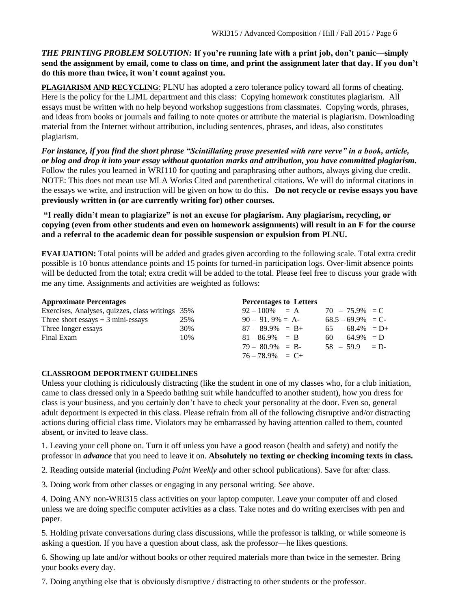#### *THE PRINTING PROBLEM SOLUTION:* **If you're running late with a print job, don't panic—simply send the assignment by email, come to class on time, and print the assignment later that day. If you don't do this more than twice, it won't count against you.**

**PLAGIARISM AND RECYCLING**: PLNU has adopted a zero tolerance policy toward all forms of cheating. Here is the policy for the LJML department and this class: Copying homework constitutes plagiarism. All essays must be written with no help beyond workshop suggestions from classmates. Copying words, phrases, and ideas from books or journals and failing to note quotes or attribute the material is plagiarism. Downloading material from the Internet without attribution, including sentences, phrases, and ideas, also constitutes plagiarism.

*For instance, if you find the short phrase "Scintillating prose presented with rare verve" in a book, article, or blog and drop it into your essay without quotation marks and attribution, you have committed plagiarism.* Follow the rules you learned in WRI110 for quoting and paraphrasing other authors, always giving due credit. NOTE: This does not mean use MLA Works Cited and parenthetical citations. We will do informal citations in the essays we write, and instruction will be given on how to do this**. Do not recycle or revise essays you have previously written in (or are currently writing for) other courses.** 

**"I really didn't mean to plagiarize" is not an excuse for plagiarism. Any plagiarism, recycling, or copying (even from other students and even on homework assignments) will result in an F for the course and a referral to the academic dean for possible suspension or expulsion from PLNU.**

**EVALUATION:** Total points will be added and grades given according to the following scale. Total extra credit possible is 10 bonus attendance points and 15 points for turned-in participation logs. Over-limit absence points will be deducted from the total; extra credit will be added to the total. Please feel free to discuss your grade with me any time. Assignments and activities are weighted as follows:

| <b>Approximate Percentages</b>                   |     | <b>Percentages to Letters</b> |                     |  |
|--------------------------------------------------|-----|-------------------------------|---------------------|--|
| Exercises, Analyses, quizzes, class writings 35% |     | $92 - 100\% = A$              | $70 - 75.9\% = C$   |  |
| Three short essays $+3$ mini-essays              | 25% | $90 - 91.9\% = A$             | $68.5 - 69.9\% = C$ |  |
| Three longer essays                              | 30% | $87 - 89.9\% = B +$           | $65 - 68.4\% = D +$ |  |
| Final Exam                                       | 10% | $81 - 86.9\% = B$             | $60 - 64.9\% = D$   |  |
|                                                  |     | $79 - 80.9\% = B$             | $58 - 59.9 = D$     |  |
|                                                  |     | $76 - 78.9\% = C +$           |                     |  |

#### **CLASSROOM DEPORTMENT GUIDELINES**

Unless your clothing is ridiculously distracting (like the student in one of my classes who, for a club initiation, came to class dressed only in a Speedo bathing suit while handcuffed to another student), how you dress for class is your business, and you certainly don't have to check your personality at the door. Even so, general adult deportment is expected in this class. Please refrain from all of the following disruptive and/or distracting actions during official class time. Violators may be embarrassed by having attention called to them, counted absent, or invited to leave class.

1. Leaving your cell phone on. Turn it off unless you have a good reason (health and safety) and notify the professor in *advance* that you need to leave it on. **Absolutely no texting or checking incoming texts in class.**

2. Reading outside material (including *Point Weekly* and other school publications). Save for after class.

3. Doing work from other classes or engaging in any personal writing. See above.

4. Doing ANY non-WRI315 class activities on your laptop computer. Leave your computer off and closed unless we are doing specific computer activities as a class. Take notes and do writing exercises with pen and paper.

5. Holding private conversations during class discussions, while the professor is talking, or while someone is asking a question. If you have a question about class, ask the professor—he likes questions.

6. Showing up late and/or without books or other required materials more than twice in the semester. Bring your books every day.

7. Doing anything else that is obviously disruptive / distracting to other students or the professor.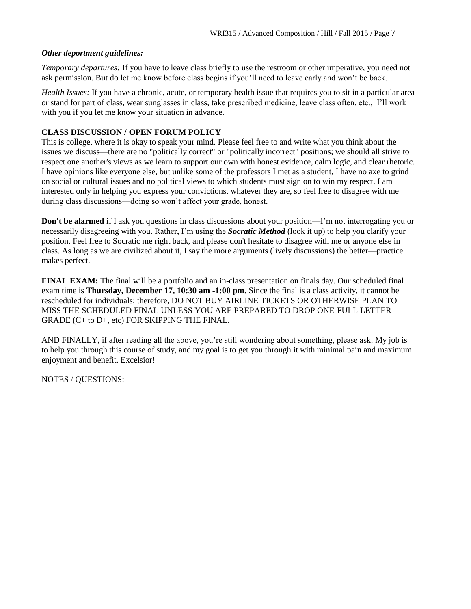#### *Other deportment guidelines:*

*Temporary departures:* If you have to leave class briefly to use the restroom or other imperative, you need not ask permission. But do let me know before class begins if you'll need to leave early and won't be back.

*Health Issues:* If you have a chronic, acute, or temporary health issue that requires you to sit in a particular area or stand for part of class, wear sunglasses in class, take prescribed medicine, leave class often, etc., I'll work with you if you let me know your situation in advance.

#### **CLASS DISCUSSION / OPEN FORUM POLICY**

This is college, where it is okay to speak your mind. Please feel free to and write what you think about the issues we discuss—there are no "politically correct" or "politically incorrect" positions; we should all strive to respect one another's views as we learn to support our own with honest evidence, calm logic, and clear rhetoric. I have opinions like everyone else, but unlike some of the professors I met as a student, I have no axe to grind on social or cultural issues and no political views to which students must sign on to win my respect. I am interested only in helping you express your convictions, whatever they are, so feel free to disagree with me during class discussions—doing so won't affect your grade, honest.

**Don't be alarmed** if I ask you questions in class discussions about your position—I'm not interrogating you or necessarily disagreeing with you. Rather, I'm using the *Socratic Method* (look it up) to help you clarify your position. Feel free to Socratic me right back, and please don't hesitate to disagree with me or anyone else in class. As long as we are civilized about it, I say the more arguments (lively discussions) the better—practice makes perfect.

**FINAL EXAM:** The final will be a portfolio and an in-class presentation on finals day. Our scheduled final exam time is **Thursday, December 17, 10:30 am -1:00 pm.** Since the final is a class activity, it cannot be rescheduled for individuals; therefore, DO NOT BUY AIRLINE TICKETS OR OTHERWISE PLAN TO MISS THE SCHEDULED FINAL UNLESS YOU ARE PREPARED TO DROP ONE FULL LETTER GRADE (C+ to D+, etc) FOR SKIPPING THE FINAL.

AND FINALLY, if after reading all the above, you're still wondering about something, please ask. My job is to help you through this course of study, and my goal is to get you through it with minimal pain and maximum enjoyment and benefit. Excelsior!

NOTES / QUESTIONS: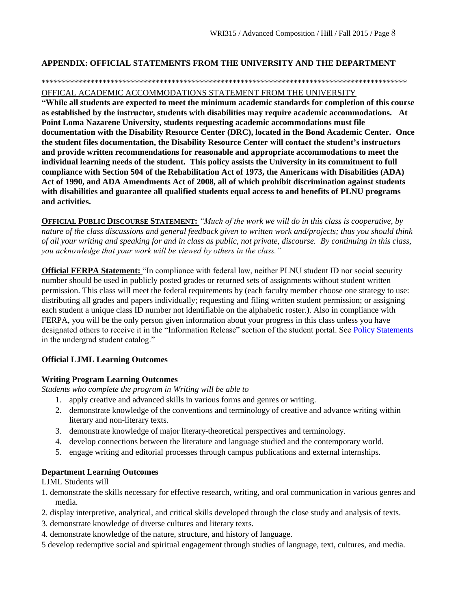#### **APPENDIX: OFFICIAL STATEMENTS FROM THE UNIVERSITY AND THE DEPARTMENT**

#### \*\*\*\*\*\*\*\*\*\*\*\*\*\*\*\*\*\*\*\*\*\*\*\*\*\*\*\*\*\*\*\*\*\*\*\*\*\*\*\*\*\*\*\*\*\*\*\*\*\*\*\*\*\*\*\*\*\*\*\*\*\*\*\*\*\*\*\*\*\*\*\*\*\*\*\*\*\*\*\*\*\*\*\*\*\*\*\*\*\*

#### OFFICAL ACADEMIC ACCOMMODATIONS STATEMENT FROM THE UNIVERSITY

**"While all students are expected to meet the minimum academic standards for completion of this course as established by the instructor, students with disabilities may require academic accommodations. At Point Loma Nazarene University, students requesting academic accommodations must file documentation with the Disability Resource Center (DRC), located in the Bond Academic Center. Once the student files documentation, the Disability Resource Center will contact the student's instructors and provide written recommendations for reasonable and appropriate accommodations to meet the individual learning needs of the student. This policy assists the University in its commitment to full compliance with Section 504 of the Rehabilitation Act of 1973, the Americans with Disabilities (ADA) Act of 1990, and ADA Amendments Act of 2008, all of which prohibit discrimination against students with disabilities and guarantee all qualified students equal access to and benefits of PLNU programs and activities.**

**OFFICIAL PUBLIC DISCOURSE STATEMENT:** *"Much of the work we will do in this class is cooperative, by nature of the class discussions and general feedback given to written work and/projects; thus you should think of all your writing and speaking for and in class as public, not private, discourse. By continuing in this class, you acknowledge that your work will be viewed by others in the class."*

**Official FERPA Statement:** "In compliance with federal law, neither PLNU student ID nor social security number should be used in publicly posted grades or returned sets of assignments without student written permission. This class will meet the federal requirements by (each faculty member choose one strategy to use: distributing all grades and papers individually; requesting and filing written student permission; or assigning each student a unique class ID number not identifiable on the alphabetic roster.). Also in compliance with FERPA, you will be the only person given information about your progress in this class unless you have designated others to receive it in the "Information Release" section of the student portal. See [Policy Statements](http://www.pointloma.edu/experience/academics/catalogs/undergraduate-catalog/policy-statements) in the undergrad student catalog."

#### **Official LJML Learning Outcomes**

#### **Writing Program Learning Outcomes**

*Students who complete the program in Writing will be able to*

- 1. apply creative and advanced skills in various forms and genres or writing.
- 2. demonstrate knowledge of the conventions and terminology of creative and advance writing within literary and non-literary texts.
- 3. demonstrate knowledge of major literary-theoretical perspectives and terminology.
- 4. develop connections between the literature and language studied and the contemporary world.
- 5. engage writing and editorial processes through campus publications and external internships.

#### **Department Learning Outcomes**

LJML Students will

- 1. demonstrate the skills necessary for effective research, writing, and oral communication in various genres and media.
- 2. display interpretive, analytical, and critical skills developed through the close study and analysis of texts.
- 3. demonstrate knowledge of diverse cultures and literary texts.
- 4. demonstrate knowledge of the nature, structure, and history of language.
- 5 develop redemptive social and spiritual engagement through studies of language, text, cultures, and media.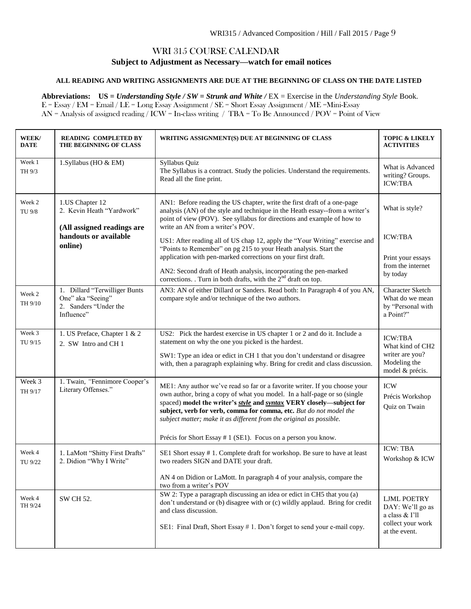### WRI 315 COURSE CALENDAR **Subject to Adjustment as Necessary—watch for email notices**

#### **ALL READING AND WRITING ASSIGNMENTS ARE DUE AT THE BEGINNING OF CLASS ON THE DATE LISTED**

**Abbreviations: US =** *Understanding Style / SW = Strunk and White /* EX = Exercise in the *Understanding Style* Book. E = Essay / EM = Email / LE = Long Essay Assignment / SE = Short Essay Assignment / ME =Mini-Essay AN = Analysis of assigned reading / ICW = In-class writing / TBA = To Be Announced / POV = Point of View

| WEEK/<br><b>DATE</b> | <b>READING COMPLETED BY</b><br>THE BEGINNING OF CLASS                                                          | WRITING ASSIGNMENT(S) DUE AT BEGINNING OF CLASS                                                                                                                                                                                                                                                                                                                                                                                                                                                                                                                                                                                 | <b>TOPIC &amp; LIKELY</b><br><b>ACTIVITIES</b>                                                 |
|----------------------|----------------------------------------------------------------------------------------------------------------|---------------------------------------------------------------------------------------------------------------------------------------------------------------------------------------------------------------------------------------------------------------------------------------------------------------------------------------------------------------------------------------------------------------------------------------------------------------------------------------------------------------------------------------------------------------------------------------------------------------------------------|------------------------------------------------------------------------------------------------|
| Week 1<br>TH 9/3     | 1.Syllabus (HO & EM)                                                                                           | Syllabus Quiz<br>The Syllabus is a contract. Study the policies. Understand the requirements.<br>Read all the fine print.                                                                                                                                                                                                                                                                                                                                                                                                                                                                                                       | What is Advanced<br>writing? Groups.<br><b>ICW:TBA</b>                                         |
| Week 2<br>TU 9/8     | 1.US Chapter 12<br>2. Kevin Heath "Yardwork"<br>(All assigned readings are<br>handouts or available<br>online) | AN1: Before reading the US chapter, write the first draft of a one-page<br>analysis (AN) of the style and technique in the Heath essay--from a writer's<br>point of view (POV). See syllabus for directions and example of how to<br>write an AN from a writer's POV.<br>US1: After reading all of US chap 12, apply the "Your Writing" exercise and<br>"Points to Remember" on pg 215 to your Heath analysis. Start the<br>application with pen-marked corrections on your first draft.<br>AN2: Second draft of Heath analysis, incorporating the pen-marked<br>corrections. Turn in both drafts, with the $2nd$ draft on top. | What is style?<br><b>ICW:TBA</b><br>Print your essays<br>from the internet<br>by today         |
| Week 2<br>TH 9/10    | 1. Dillard "Terwilliger Bunts<br>One" aka "Seeing"<br>2. Sanders "Under the<br>Influence"                      | AN3: AN of either Dillard or Sanders. Read both: In Paragraph 4 of you AN,<br>compare style and/or technique of the two authors.                                                                                                                                                                                                                                                                                                                                                                                                                                                                                                | <b>Character Sketch</b><br>What do we mean<br>by "Personal with<br>a Point?"                   |
| Week 3<br>TU 9/15    | 1. US Preface, Chapter 1 & 2<br>2. SW Intro and CH 1                                                           | US2: Pick the hardest exercise in US chapter 1 or 2 and do it. Include a<br>statement on why the one you picked is the hardest.<br>SW1: Type an idea or edict in CH 1 that you don't understand or disagree<br>with, then a paragraph explaining why. Bring for credit and class discussion.                                                                                                                                                                                                                                                                                                                                    | <b>ICW:TBA</b><br>What kind of CH2<br>writer are you?<br>Modeling the<br>model & précis.       |
| Week 3<br>TH 9/17    | 1. Twain, "Fennimore Cooper's<br>Literary Offenses."                                                           | ME1: Any author we've read so far or a favorite writer. If you choose your<br>own author, bring a copy of what you model. In a half-page or so (single<br>spaced) model the writer's style and syntax VERY closely-subject for<br>subject, verb for verb, comma for comma, etc. But do not model the<br>subject matter; make it as different from the original as possible.<br>Précis for Short Essay # 1 (SE1). Focus on a person you know.                                                                                                                                                                                    | <b>ICW</b><br>Précis Workshop<br>Quiz on Twain                                                 |
| Week 4<br>TU 9/22    | 1. LaMott "Shitty First Drafts"<br>2. Didion "Why I Write"                                                     | SE1 Short essay #1. Complete draft for workshop. Be sure to have at least<br>two readers SIGN and DATE your draft.<br>AN 4 on Didion or LaMott. In paragraph 4 of your analysis, compare the<br>two from a writer's POV                                                                                                                                                                                                                                                                                                                                                                                                         | <b>ICW: TBA</b><br>Workshop & ICW                                                              |
| Week 4<br>TH 9/24    | <b>SW CH 52.</b>                                                                                               | SW 2: Type a paragraph discussing an idea or edict in CH5 that you (a)<br>don't understand or (b) disagree with or (c) wildly applaud. Bring for credit<br>and class discussion.<br>SE1: Final Draft, Short Essay #1. Don't forget to send your e-mail copy.                                                                                                                                                                                                                                                                                                                                                                    | <b>LJML POETRY</b><br>DAY: We'll go as<br>a class & I'll<br>collect your work<br>at the event. |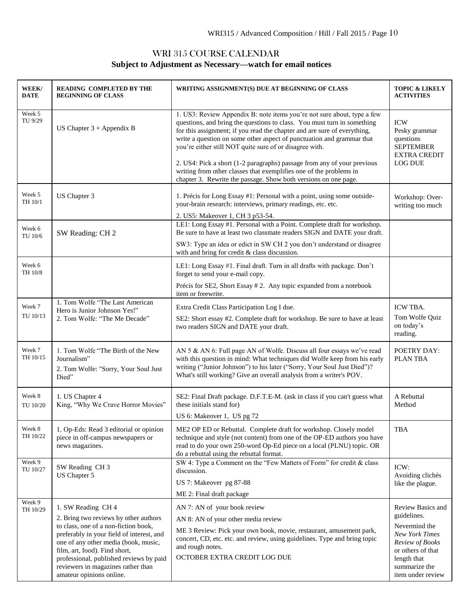# WRI 315 COURSE CALENDAR **Subject to Adjustment as Necessary—watch for email notices**

| WEEK/<br><b>DATE</b> | <b>READING COMPLETED BY THE</b><br><b>BEGINNING OF CLASS</b>                                                                                                                                                                                                                                                                           | WRITING ASSIGNMENT(S) DUE AT BEGINNING OF CLASS                                                                                                                                                                                                                                                                                                                                                                                                                                                                                                                                        | <b>TOPIC &amp; LIKELY</b><br><b>ACTIVITIES</b>                                                                                                                          |
|----------------------|----------------------------------------------------------------------------------------------------------------------------------------------------------------------------------------------------------------------------------------------------------------------------------------------------------------------------------------|----------------------------------------------------------------------------------------------------------------------------------------------------------------------------------------------------------------------------------------------------------------------------------------------------------------------------------------------------------------------------------------------------------------------------------------------------------------------------------------------------------------------------------------------------------------------------------------|-------------------------------------------------------------------------------------------------------------------------------------------------------------------------|
| Week 5<br>TU 9/29    | US Chapter $3 +$ Appendix B                                                                                                                                                                                                                                                                                                            | 1. US3: Review Appendix B: note items you're not sure about, type a few<br>questions, and bring the questions to class. You must turn in something<br>for this assignment; if you read the chapter and are sure of everything,<br>write a question on some other aspect of punctuation and grammar that<br>you're either still NOT quite sure of or disagree with.<br>2. US4: Pick a short (1-2 paragraphs) passage from any of your previous<br>writing from other classes that exemplifies one of the problems in<br>chapter 3. Rewrite the passage. Show both versions on one page. | <b>ICW</b><br>Pesky grammar<br>questions<br><b>SEPTEMBER</b><br><b>EXTRA CREDIT</b><br><b>LOG DUE</b>                                                                   |
| Week 5<br>TH 10/1    | US Chapter 3                                                                                                                                                                                                                                                                                                                           | 1. Précis for Long Essay #1: Personal with a point, using some outside-<br>your-brain research: interviews, primary readings, etc. etc.<br>2. US5: Makeover 1, CH 3 p53-54.                                                                                                                                                                                                                                                                                                                                                                                                            | Workshop: Over-<br>writing too much                                                                                                                                     |
| Week 6<br>TU 10/6    | SW Reading: CH 2                                                                                                                                                                                                                                                                                                                       | LE1: Long Essay #1. Personal with a Point. Complete draft for workshop.<br>Be sure to have at least two classmate readers SIGN and DATE your draft.<br>SW3: Type an idea or edict in SW CH 2 you don't understand or disagree<br>with and bring for credit & class discussion.                                                                                                                                                                                                                                                                                                         |                                                                                                                                                                         |
| Week 6<br>TH 10/8    |                                                                                                                                                                                                                                                                                                                                        | LE1: Long Essay #1. Final draft. Turn in all drafts with package. Don't<br>forget to send your e-mail copy.<br>Précis for SE2, Short Essay # 2. Any topic expanded from a notebook<br>item or freewrite.                                                                                                                                                                                                                                                                                                                                                                               |                                                                                                                                                                         |
| Week 7<br>TU 10/13   | 1. Tom Wolfe "The Last American<br>Hero is Junior Johnson Yes!"<br>2. Tom Wolfe: "The Me Decade"                                                                                                                                                                                                                                       | Extra Credit Class Participation Log I due.<br>SE2: Short essay #2. Complete draft for workshop. Be sure to have at least<br>two readers SIGN and DATE your draft.                                                                                                                                                                                                                                                                                                                                                                                                                     | ICW TBA.<br>Tom Wolfe Quiz<br>on today's<br>reading.                                                                                                                    |
| Week 7<br>TH 10/15   | 1. Tom Wolfe "The Birth of the New<br>Journalism"<br>2. Tom Wolfe: "Sorry, Your Soul Just<br>Died"                                                                                                                                                                                                                                     | AN 5 & AN 6: Full page AN of Wolfe. Discuss all four essays we've read<br>with this question in mind: What techniques did Wolfe keep from his early<br>writing ("Junior Johnson") to his later ("Sorry, Your Soul Just Died")?<br>What's still working? Give an overall analysis from a writer's POV.                                                                                                                                                                                                                                                                                  | <b>POETRY DAY:</b><br>PLAN TBA                                                                                                                                          |
| Week 8<br>TU 10/20   | 1. US Chapter 4<br>King, "Why We Crave Horror Movies"                                                                                                                                                                                                                                                                                  | SE2: Final Draft package. D.F.T.E-M. (ask in class if you can't guess what<br>these initials stand for)<br>US 6: Makeover 1, US pg 72                                                                                                                                                                                                                                                                                                                                                                                                                                                  | A Rebuttal<br>Method                                                                                                                                                    |
| Week 8<br>TH 10/22   | 1. Op-Eds: Read 3 editorial or opinion<br>piece in off-campus newspapers or<br>news magazines.                                                                                                                                                                                                                                         | ME2 OP ED or Rebuttal. Complete draft for workshop. Closely model<br>technique and style (not content) from one of the OP-ED authors you have<br>read to do your own 250-word Op-Ed piece on a local (PLNU) topic. OR<br>do a rebuttal using the rebuttal format.                                                                                                                                                                                                                                                                                                                      | <b>TBA</b>                                                                                                                                                              |
| Week 9<br>TU 10/27   | SW Reading CH 3<br>US Chapter 5                                                                                                                                                                                                                                                                                                        | SW 4: Type a Comment on the "Few Matters of Form" for credit & class<br>discussion.<br>US 7: Makeover pg 87-88<br>ME 2: Final draft package                                                                                                                                                                                                                                                                                                                                                                                                                                            | ICW:<br>Avoiding clichés<br>like the plague.                                                                                                                            |
| Week 9<br>TH 10/29   | 1. SW Reading CH 4<br>2. Bring two reviews by other authors<br>to class, one of a non-fiction book,<br>preferably in your field of interest, and<br>one of any other media (book, music,<br>film, art, food). Find short,<br>professional, published reviews by paid<br>reviewers in magazines rather than<br>amateur opinions online. | AN 7: AN of your book review<br>AN 8: AN of your other media review<br>ME 3 Review: Pick your own book, movie, restaurant, amusement park,<br>concert, CD, etc. etc. and review, using guidelines. Type and bring topic<br>and rough notes.<br>OCTOBER EXTRA CREDIT LOG DUE                                                                                                                                                                                                                                                                                                            | Review Basics and<br>guidelines.<br>Nevermind the<br><b>New York Times</b><br>Review of Books<br>or others of that<br>length that<br>summarize the<br>item under review |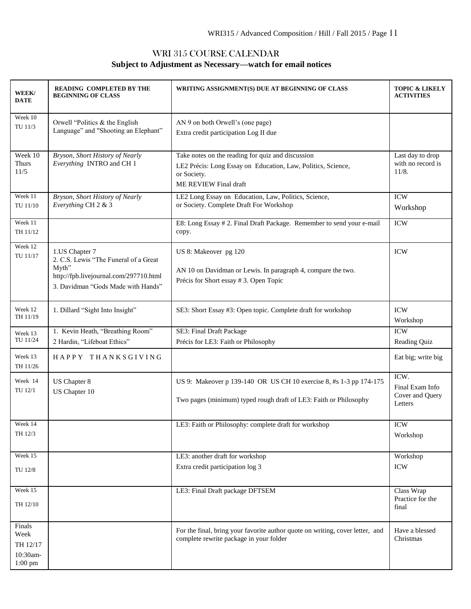# WRI 315 COURSE CALENDAR **Subject to Adjustment as Necessary—watch for email notices**

| WEEK/<br><b>DATE</b>                                | <b>READING COMPLETED BY THE</b><br><b>BEGINNING OF CLASS</b>                                                                                     | WRITING ASSIGNMENT(S) DUE AT BEGINNING OF CLASS                                                                                                           | <b>TOPIC &amp; LIKELY</b><br><b>ACTIVITIES</b>        |
|-----------------------------------------------------|--------------------------------------------------------------------------------------------------------------------------------------------------|-----------------------------------------------------------------------------------------------------------------------------------------------------------|-------------------------------------------------------|
| Week 10<br>TU 11/3                                  | Orwell "Politics & the English"<br>Language" and "Shooting an Elephant"                                                                          | AN 9 on both Orwell's (one page)<br>Extra credit participation Log II due                                                                                 |                                                       |
| Week 10<br>Thurs<br>11/5                            | Bryson, Short History of Nearly<br>Everything INTRO and CH 1                                                                                     | Take notes on the reading for quiz and discussion<br>LE2 Précis: Long Essay on Education, Law, Politics, Science,<br>or Society.<br>ME REVIEW Final draft | Last day to drop<br>with no record is<br>11/8.        |
| Week 11<br>TU 11/10                                 | Bryson, Short History of Nearly<br>Everything CH 2 & 3                                                                                           | LE2 Long Essay on Education, Law, Politics, Science,<br>or Society. Complete Draft For Workshop                                                           | <b>ICW</b><br>Workshop                                |
| Week 11<br>TH 11/12                                 |                                                                                                                                                  | E8: Long Essay #2. Final Draft Package. Remember to send your e-mail<br>copy.                                                                             | <b>ICW</b>                                            |
| Week 12<br>TU 11/17                                 | 1.US Chapter 7<br>2. C.S. Lewis "The Funeral of a Great<br>Myth"<br>http://fpb.livejournal.com/297710.html<br>3. Davidman "Gods Made with Hands" | US 8: Makeover pg 120<br>AN 10 on Davidman or Lewis. In paragraph 4, compare the two.<br>Précis for Short essay # 3. Open Topic                           | <b>ICW</b>                                            |
| Week 12<br>TH 11/19                                 | 1. Dillard "Sight Into Insight"                                                                                                                  | SE3: Short Essay #3: Open topic. Complete draft for workshop                                                                                              | <b>ICW</b><br>Workshop                                |
| Week 13<br>TU 11/24                                 | 1. Kevin Heath, "Breathing Room"<br>2 Hardin, "Lifeboat Ethics"                                                                                  | SE3: Final Draft Package<br>Précis for LE3: Faith or Philosophy                                                                                           | <b>ICW</b><br>Reading Quiz                            |
| Week 13<br>TH 11/26                                 | HAPPY THANKSGIVING                                                                                                                               |                                                                                                                                                           | Eat big; write big                                    |
| Week 14<br>TU 12/1                                  | US Chapter 8<br>US Chapter 10                                                                                                                    | US 9: Makeover p 139-140 OR US CH 10 exercise 8, #s 1-3 pp 174-175<br>Two pages (minimum) typed rough draft of LE3: Faith or Philosophy                   | ICW.<br>Final Exam Info<br>Cover and Query<br>Letters |
| Week 14<br>TH 12/3                                  |                                                                                                                                                  | LE3: Faith or Philosophy: complete draft for workshop                                                                                                     | <b>ICW</b><br>Workshop                                |
| Week 15<br>TU 12/8                                  |                                                                                                                                                  | LE3: another draft for workshop<br>Extra credit participation log 3                                                                                       | Workshop<br><b>ICW</b>                                |
| Week 15<br>TH 12/10                                 |                                                                                                                                                  | LE3: Final Draft package DFTSEM                                                                                                                           | Class Wrap<br>Practice for the<br>final               |
| Finals<br>Week<br>TH 12/17<br>10:30am-<br>$1:00$ pm |                                                                                                                                                  | For the final, bring your favorite author quote on writing, cover letter, and<br>complete rewrite package in your folder                                  | Have a blessed<br>Christmas                           |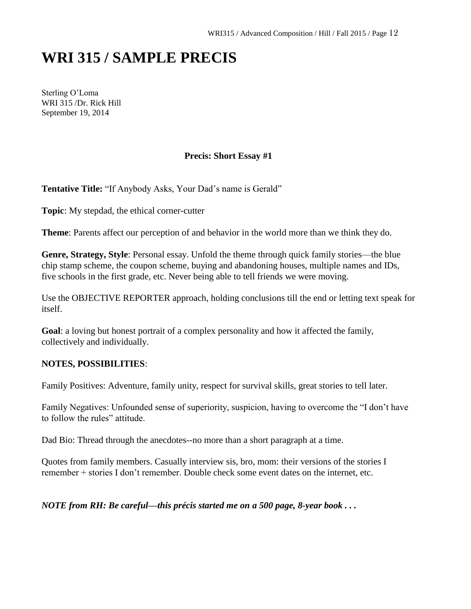# **WRI 315 / SAMPLE PRECIS**

Sterling O'Loma WRI 315 /Dr. Rick Hill September 19, 2014

#### **Precis: Short Essay #1**

**Tentative Title:** "If Anybody Asks, Your Dad's name is Gerald"

**Topic**: My stepdad, the ethical corner-cutter

**Theme**: Parents affect our perception of and behavior in the world more than we think they do.

**Genre, Strategy, Style**: Personal essay. Unfold the theme through quick family stories—the blue chip stamp scheme, the coupon scheme, buying and abandoning houses, multiple names and IDs, five schools in the first grade, etc. Never being able to tell friends we were moving.

Use the OBJECTIVE REPORTER approach, holding conclusions till the end or letting text speak for itself.

**Goal**: a loving but honest portrait of a complex personality and how it affected the family, collectively and individually.

#### **NOTES, POSSIBILITIES**:

Family Positives: Adventure, family unity, respect for survival skills, great stories to tell later.

Family Negatives: Unfounded sense of superiority, suspicion, having to overcome the "I don't have to follow the rules" attitude.

Dad Bio: Thread through the anecdotes--no more than a short paragraph at a time.

Quotes from family members. Casually interview sis, bro, mom: their versions of the stories I remember + stories I don't remember. Double check some event dates on the internet, etc.

*NOTE from RH: Be careful—this précis started me on a 500 page, 8-year book . . .*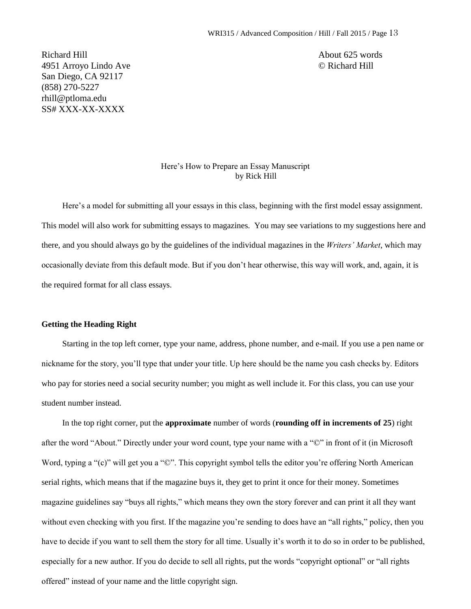Richard Hill About 625 words 4951 Arroyo Lindo Ave © Richard Hill San Diego, CA 92117 (858) 270-5227 rhill@ptloma.edu SS# XXX-XX-XXXX

#### Here's How to Prepare an Essay Manuscript by Rick Hill

Here's a model for submitting all your essays in this class, beginning with the first model essay assignment. This model will also work for submitting essays to magazines. You may see variations to my suggestions here and there, and you should always go by the guidelines of the individual magazines in the *Writers' Market*, which may occasionally deviate from this default mode. But if you don't hear otherwise, this way will work, and, again, it is the required format for all class essays.

#### **Getting the Heading Right**

Starting in the top left corner, type your name, address, phone number, and e-mail. If you use a pen name or nickname for the story, you'll type that under your title. Up here should be the name you cash checks by. Editors who pay for stories need a social security number; you might as well include it. For this class, you can use your student number instead.

In the top right corner, put the **approximate** number of words (**rounding off in increments of 25**) right after the word "About." Directly under your word count, type your name with a "©" in front of it (in Microsoft Word, typing a "(c)" will get you a " $\mathbb{O}$ ". This copyright symbol tells the editor you're offering North American serial rights, which means that if the magazine buys it, they get to print it once for their money. Sometimes magazine guidelines say "buys all rights," which means they own the story forever and can print it all they want without even checking with you first. If the magazine you're sending to does have an "all rights," policy, then you have to decide if you want to sell them the story for all time. Usually it's worth it to do so in order to be published, especially for a new author. If you do decide to sell all rights, put the words "copyright optional" or "all rights offered" instead of your name and the little copyright sign.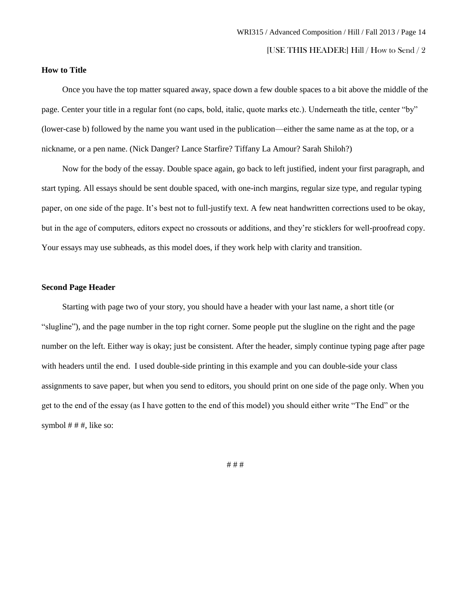[USE THIS HEADER:] Hill / How to Send / 2

#### **How to Title**

Once you have the top matter squared away, space down a few double spaces to a bit above the middle of the page. Center your title in a regular font (no caps, bold, italic, quote marks etc.). Underneath the title, center "by" (lower-case b) followed by the name you want used in the publication—either the same name as at the top, or a nickname, or a pen name. (Nick Danger? Lance Starfire? Tiffany La Amour? Sarah Shiloh?)

Now for the body of the essay. Double space again, go back to left justified, indent your first paragraph, and start typing. All essays should be sent double spaced, with one-inch margins, regular size type, and regular typing paper, on one side of the page. It's best not to full-justify text. A few neat handwritten corrections used to be okay, but in the age of computers, editors expect no crossouts or additions, and they're sticklers for well-proofread copy. Your essays may use subheads, as this model does, if they work help with clarity and transition.

#### **Second Page Header**

Starting with page two of your story, you should have a header with your last name, a short title (or "slugline"), and the page number in the top right corner. Some people put the slugline on the right and the page number on the left. Either way is okay; just be consistent. After the header, simply continue typing page after page with headers until the end. I used double-side printing in this example and you can double-side your class assignments to save paper, but when you send to editors, you should print on one side of the page only. When you get to the end of the essay (as I have gotten to the end of this model) you should either write "The End" or the symbol  $# #$ , like so:

# # #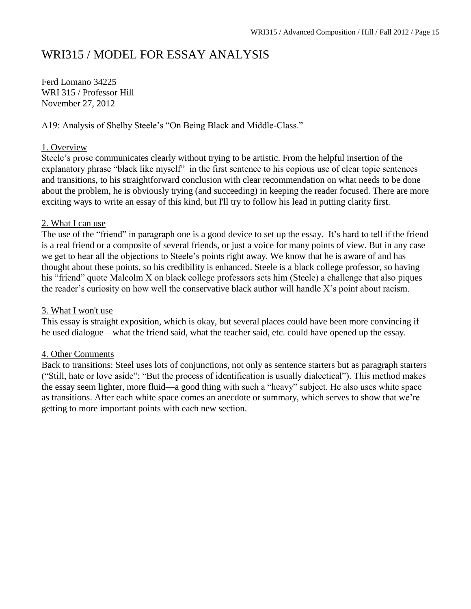# WRI315 / MODEL FOR ESSAY ANALYSIS

Ferd Lomano 34225 WRI 315 / Professor Hill November 27, 2012

A19: Analysis of Shelby Steele's "On Being Black and Middle-Class."

#### 1. Overview

Steele's prose communicates clearly without trying to be artistic. From the helpful insertion of the explanatory phrase "black like myself" in the first sentence to his copious use of clear topic sentences and transitions, to his straightforward conclusion with clear recommendation on what needs to be done about the problem, he is obviously trying (and succeeding) in keeping the reader focused. There are more exciting ways to write an essay of this kind, but I'll try to follow his lead in putting clarity first.

#### 2. What I can use

The use of the "friend" in paragraph one is a good device to set up the essay. It's hard to tell if the friend is a real friend or a composite of several friends, or just a voice for many points of view. But in any case we get to hear all the objections to Steele's points right away. We know that he is aware of and has thought about these points, so his credibility is enhanced. Steele is a black college professor, so having his "friend" quote Malcolm X on black college professors sets him (Steele) a challenge that also piques the reader's curiosity on how well the conservative black author will handle X's point about racism.

#### 3. What I won't use

This essay is straight exposition, which is okay, but several places could have been more convincing if he used dialogue—what the friend said, what the teacher said, etc. could have opened up the essay.

#### 4. Other Comments

Back to transitions: Steel uses lots of conjunctions, not only as sentence starters but as paragraph starters ("Still, hate or love aside"; "But the process of identification is usually dialectical"). This method makes the essay seem lighter, more fluid—a good thing with such a "heavy" subject. He also uses white space as transitions. After each white space comes an anecdote or summary, which serves to show that we're getting to more important points with each new section.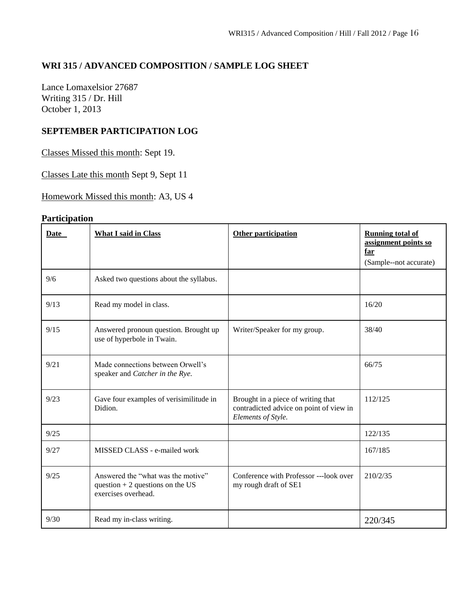# **WRI 315 / ADVANCED COMPOSITION / SAMPLE LOG SHEET**

Lance Lomaxelsior 27687 Writing 315 / Dr. Hill October 1, 2013

#### **SEPTEMBER PARTICIPATION LOG**

Classes Missed this month: Sept 19.

Classes Late this month Sept 9, Sept 11

Homework Missed this month: A3, US 4

# **Participation**

| Date | <b>What I said in Class</b>                                                                    | Other participation                                                                                 | <b>Running total of</b><br>assignment points so<br>far<br>(Sample--not accurate) |
|------|------------------------------------------------------------------------------------------------|-----------------------------------------------------------------------------------------------------|----------------------------------------------------------------------------------|
| 9/6  | Asked two questions about the syllabus.                                                        |                                                                                                     |                                                                                  |
| 9/13 | Read my model in class.                                                                        |                                                                                                     | 16/20                                                                            |
| 9/15 | Answered pronoun question. Brought up<br>use of hyperbole in Twain.                            | Writer/Speaker for my group.                                                                        | 38/40                                                                            |
| 9/21 | Made connections between Orwell's<br>speaker and Catcher in the Rye.                           |                                                                                                     | 66/75                                                                            |
| 9/23 | Gave four examples of verisimilitude in<br>Didion.                                             | Brought in a piece of writing that<br>contradicted advice on point of view in<br>Elements of Style. | 112/125                                                                          |
| 9/25 |                                                                                                |                                                                                                     | 122/135                                                                          |
| 9/27 | MISSED CLASS - e-mailed work                                                                   |                                                                                                     | 167/185                                                                          |
| 9/25 | Answered the "what was the motive"<br>question $+2$ questions on the US<br>exercises overhead. | Conference with Professor ---look over<br>my rough draft of SE1                                     | 210/2/35                                                                         |
| 9/30 | Read my in-class writing.                                                                      |                                                                                                     | 220/345                                                                          |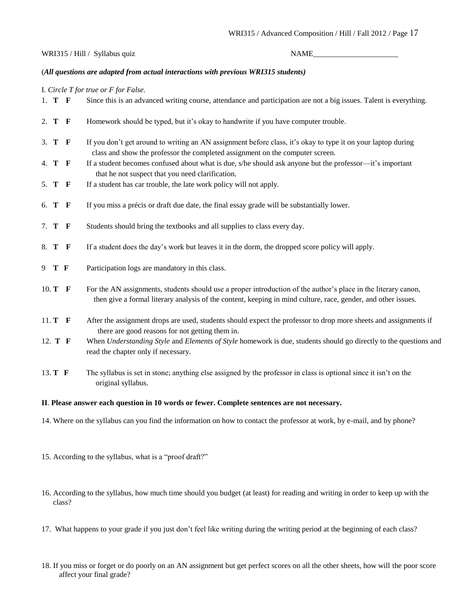#### WRI315 / Hill / Syllabus quiz NAME\_\_\_\_\_\_\_\_\_\_\_\_\_\_\_\_\_\_\_\_\_\_

#### (*All questions are adapted from actual interactions with previous WRI315 students)*

#### I*. Circle T for true or F for False.*

|      | 1. T F        |              | Since this is an advanced writing course, attendance and participation are not a big issues. Talent is everything.                                                                                                              |
|------|---------------|--------------|---------------------------------------------------------------------------------------------------------------------------------------------------------------------------------------------------------------------------------|
|      | 2. T F        |              | Homework should be typed, but it's okay to handwrite if you have computer trouble.                                                                                                                                              |
|      | 3. T F        |              | If you don't get around to writing an AN assignment before class, it's okay to type it on your laptop during<br>class and show the professor the completed assignment on the computer screen.                                   |
|      | 4. T F        |              | If a student becomes confused about what is due, s/he should ask anyone but the professor—it's important<br>that he not suspect that you need clarification.                                                                    |
|      | 5. T F        |              | If a student has car trouble, the late work policy will not apply.                                                                                                                                                              |
| 6. T |               | $\mathbf{F}$ | If you miss a précis or draft due date, the final essay grade will be substantially lower.                                                                                                                                      |
|      | 7. <b>T</b> F |              | Students should bring the textbooks and all supplies to class every day.                                                                                                                                                        |
|      | 8. T F        |              | If a student does the day's work but leaves it in the dorm, the dropped score policy will apply.                                                                                                                                |
|      | 9 T F         |              | Participation logs are mandatory in this class.                                                                                                                                                                                 |
|      | 10. $T$ F     |              | For the AN assignments, students should use a proper introduction of the author's place in the literary canon,<br>then give a formal literary analysis of the content, keeping in mind culture, race, gender, and other issues. |
|      | 11. T F       |              | After the assignment drops are used, students should expect the professor to drop more sheets and assignments if<br>there are good reasons for not getting them in.                                                             |
|      | 12. T F       |              | When Understanding Style and Elements of Style homework is due, students should go directly to the questions and<br>read the chapter only if necessary.                                                                         |

13. **T F** The syllabus is set in stone; anything else assigned by the professor in class is optional since it isn't on the original syllabus.

#### **II**. **Please answer each question in 10 words or fewer. Complete sentences are not necessary***.*

- 14. Where on the syllabus can you find the information on how to contact the professor at work, by e-mail, and by phone?
- 15. According to the syllabus, what is a "proof draft?"
- 16. According to the syllabus, how much time should you budget (at least) for reading and writing in order to keep up with the class?
- 17. What happens to your grade if you just don't feel like writing during the writing period at the beginning of each class?
- 18. If you miss or forget or do poorly on an AN assignment but get perfect scores on all the other sheets, how will the poor score affect your final grade?